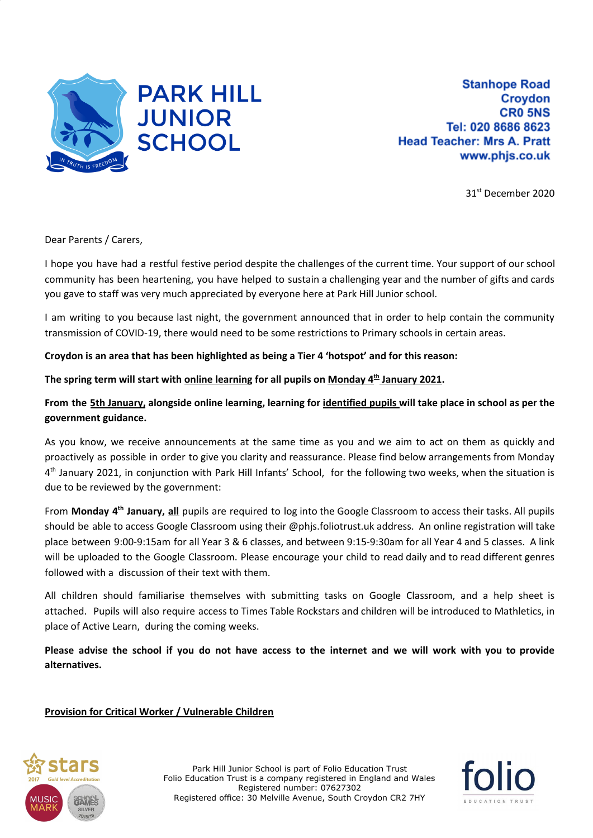

**Stanhope Road Croydon CRO 5NS** Tel: 020 8686 8623 **Head Teacher: Mrs A. Pratt** www.phjs.co.uk

31 st December 2020

Dear Parents / Carers,

I hope you have had a restful festive period despite the challenges of the current time. Your support of our school community has been heartening, you have helped to sustain a challenging year and the number of gifts and cards you gave to staff was very much appreciated by everyone here at Park Hill Junior school.

I am writing to you because last night, the government announced that in order to help contain the community transmission of COVID-19, there would need to be some restrictions to Primary schools in certain areas.

**Croydon is an area that has been highlighted as being a Tier 4 'hotspot' and for this reason:**

**The spring term will start with online learning for all pupils on Monday 4 th January 2021.**

## From the 5th January, alongside online learning, learning for identified pupils will take place in school as per the **government guidance.**

As you know, we receive announcements at the same time as you and we aim to act on them as quickly and proactively as possible in order to give you clarity and reassurance. Please find below arrangements from Monday 4<sup>th</sup> January 2021, in conjunction with Park Hill Infants' School, for the following two weeks, when the situation is due to be reviewed by the government:

From Monday 4<sup>th</sup> January, all pupils are required to log into the Google Classroom to access their tasks. All pupils should be able to access Google Classroom using their @phjs.foliotrust.uk address. An online registration will take place between 9:00-9:15am for all Year 3 & 6 classes, and between 9:15-9:30am for all Year 4 and 5 classes. A link will be uploaded to the Google Classroom. Please encourage your child to read daily and to read different genres followed with a discussion of their text with them.

All children should familiarise themselves with submitting tasks on Google Classroom, and a help sheet is attached. Pupils will also require access to Times Table Rockstars and children will be introduced to Mathletics, in place of Active Learn, during the coming weeks.

Please advise the school if you do not have access to the internet and we will work with you to provide **alternatives.**

## **Provision for Critical Worker / Vulnerable Children**



Park Hill Junior School is part of Folio Education Trust Folio Education Trust is a company registered in England and Wales Registered number: 07627302 Registered office: 30 Melville Avenue, South Croydon CR2 7HY

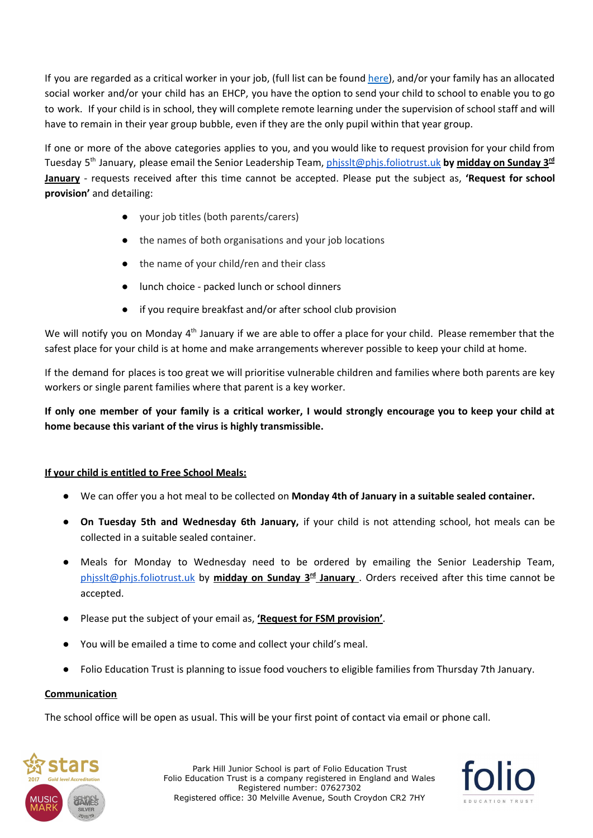If you are regarded as a critical worker in your job, (full list can be found [here\)](https://www.gov.uk/government/publications/coronavirus-covid-19-maintaining-educational-provision/guidance-for-schools-colleges-and-local-authorities-on-maintaining-educational-provision), and/or your family has an allocated social worker and/or your child has an EHCP, you have the option to send your child to school to enable you to go to work. If your child is in school, they will complete remote learning under the supervision of school staff and will have to remain in their year group bubble, even if they are the only pupil within that year group.

If one or more of the above categories applies to you, and you would like to request provision for your child from Tuesday 5 th January, please email the Senior Leadership Team, [phjsslt@phjs.foliotrust.uk](mailto:phjsslt@phjs.foliotrust.uk) **by midday on Sunday 3 rd January** - requests received after this time cannot be accepted. Please put the subject as, **'Request for school provision'** and detailing:

- your job titles (both parents/carers)
- the names of both organisations and your job locations
- the name of your child/ren and their class
- lunch choice packed lunch or school dinners
- if you require breakfast and/or after school club provision

We will notify you on Monday 4<sup>th</sup> January if we are able to offer a place for your child. Please remember that the safest place for your child is at home and make arrangements wherever possible to keep your child at home.

If the demand for places is too great we will prioritise vulnerable children and families where both parents are key workers or single parent families where that parent is a key worker.

If only one member of your family is a critical worker, I would strongly encourage you to keep your child at **home because this variant of the virus is highly transmissible.**

## **If your child is entitled to Free School Meals:**

- We can offer you a hot meal to be collected on **Monday 4th of January in a suitable sealed container.**
- **On Tuesday 5th and Wednesday 6th January,** if your child is not attending school, hot meals can be collected in a suitable sealed container.
- Meals for Monday to Wednesday need to be ordered by emailing the Senior Leadership Team, [phjsslt@phjs.foliotrust.uk](mailto:phjsslt@phjs.foliotrust.uk) by **midday on Sunday 3 rd January** . Orders received after this time cannot be accepted.
- Please put the subject of your email as, **'Request for FSM provision'**.
- You will be emailed a time to come and collect your child's meal.
- Folio Education Trust is planning to issue food vouchers to eligible families from Thursday 7th January.

## **Communication**

The school office will be open as usual. This will be your first point of contact via email or phone call.